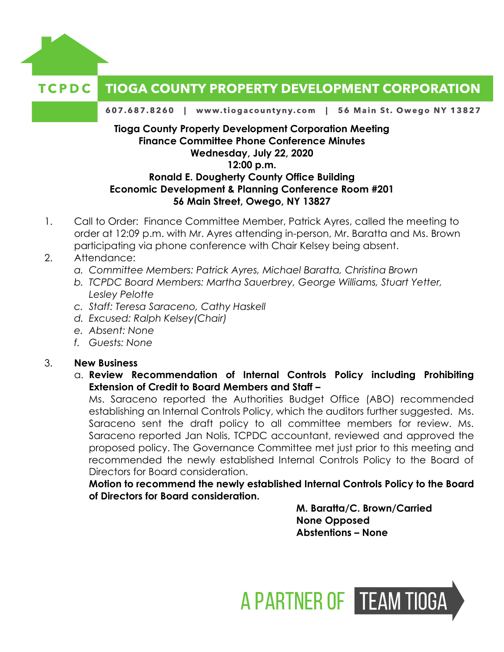

## **Finance Committee Phone Conference Minutes Wednesday, July 22, 2020 12:00 p.m. Ronald E. Dougherty County Office Building Economic Development & Planning Conference Room #201**

## **56 Main Street, Owego, NY 13827**

- 1. Call to Order: Finance Committee Member, Patrick Ayres, called the meeting to order at 12:09 p.m. with Mr. Ayres attending in-person, Mr. Baratta and Ms. Brown participating via phone conference with Chair Kelsey being absent.
- 2. Attendance:
	- *a. Committee Members: Patrick Ayres, Michael Baratta, Christina Brown*
	- *b. TCPDC Board Members: Martha Sauerbrey, George Williams, Stuart Yetter, Lesley Pelotte*
	- *c. Staff: Teresa Saraceno, Cathy Haskell*
	- *d. Excused: Ralph Kelsey(Chair)*
	- *e. Absent: None*
	- *f. Guests: None*

## 3. **New Business**

a. **Review Recommendation of Internal Controls Policy including Prohibiting Extension of Credit to Board Members and Staff –**

Ms. Saraceno reported the Authorities Budget Office (ABO) recommended establishing an Internal Controls Policy, which the auditors further suggested. Ms. Saraceno sent the draft policy to all committee members for review. Ms. Saraceno reported Jan Nolis, TCPDC accountant, reviewed and approved the proposed policy. The Governance Committee met just prior to this meeting and recommended the newly established Internal Controls Policy to the Board of Directors for Board consideration.

**Motion to recommend the newly established Internal Controls Policy to the Board of Directors for Board consideration.** 

> **M. Baratta/C. Brown/Carried None Opposed Abstentions – None**